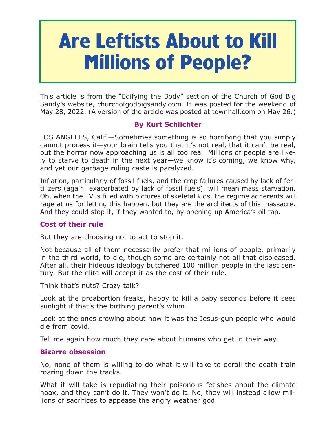# **Are Leftists About to Kill Millions of People?**

This article is from the "Edifying the Body" section of the Church of God Big Sandy's website, churchofgodbigsandy.com. It was posted for the weekend of May 28, 2022. (A version of the article was posted at townhall.com on May 26.)

## **By Kurt Schlichter**

LOS ANGELES, Calif.—Sometimes something is so horrifying that you simply cannot process it—your brain tells you that it's not real, that it can't be real, but the horror now approaching us is all too real. Millions of people are likely to starve to death in the next year—we know it's coming, we know why, and yet our garbage ruling caste is paralyzed.

Inflation, particularly of fossil fuels, and the crop failures caused by lack of fertilizers (again, exacerbated by lack of fossil fuels), will mean mass starvation. Oh, when the TV is filled with pictures of skeletal kids, the regime adherents will rage at us for letting this happen, but they are the architects of this massacre. And they could stop it, if they wanted to, by opening up America's oil tap.

## **Cost of their rule**

But they are choosing not to act to stop it.

Not because all of them necessarily prefer that millions of people, primarily in the third world, to die, though some are certainly not all that displeased. After all, their hideous ideology butchered 100 million people in the last century. But the elite will accept it as the cost of their rule.

Think that's nuts? Crazy talk?

Look at the proabortion freaks, happy to kill a baby seconds before it sees sunlight if that's the birthing parent's whim.

Look at the ones crowing about how it was the Jesus-gun people who would die from covid.

Tell me again how much they care about humans who get in their way.

## **Bizarre obsession**

No, none of them is willing to do what it will take to derail the death train roaring down the tracks.

What it will take is repudiating their poisonous fetishes about the climate hoax, and they can't do it. They won't do it. No, they will instead allow millions of sacrifices to appease the angry weather god.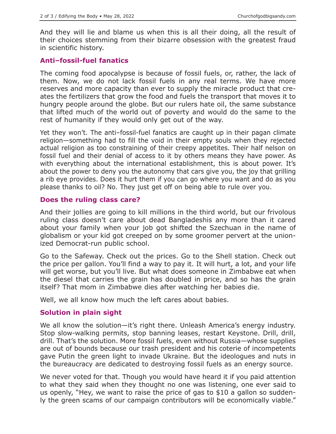And they will lie and blame us when this is all their doing, all the result of their choices stemming from their bizarre obsession with the greatest fraud in scientific history.

#### **Anti–fossil-fuel fanatics**

The coming food apocalypse is because of fossil fuels, or, rather, the lack of them. Now, we do not lack fossil fuels in any real terms. We have more reserves and more capacity than ever to supply the miracle product that creates the fertilizers that grow the food and fuels the transport that moves it to hungry people around the globe. But our rulers hate oil, the same substance that lifted much of the world out of poverty and would do the same to the rest of humanity if they would only get out of the way.

Yet they won't. The anti–fossil-fuel fanatics are caught up in their pagan climate religion—something had to fill the void in their empty souls when they rejected actual religion as too constraining of their creepy appetites. Their half nelson on fossil fuel and their denial of access to it by others means they have power. As with everything about the international establishment, this is about power. It's about the power to deny you the autonomy that cars give you, the joy that grilling a rib eye provides. Does it hurt them if you can go where you want and do as you please thanks to oil? No. They just get off on being able to rule over you.

#### **Does the ruling class care?**

And their jollies are going to kill millions in the third world, but our frivolous ruling class doesn't care about dead Bangladeshis any more than it cared about your family when your job got shifted the Szechuan in the name of globalism or your kid got creeped on by some groomer pervert at the unionized Democrat-run public school.

Go to the Safeway. Check out the prices. Go to the Shell station. Check out the price per gallon. You'll find a way to pay it. It will hurt, a lot, and your life will get worse, but you'll live. But what does someone in Zimbabwe eat when the diesel that carries the grain has doubled in price, and so has the grain itself? That mom in Zimbabwe dies after watching her babies die.

Well, we all know how much the left cares about babies.

#### **Solution in plain sight**

We all know the solution—it's right there. Unleash America's energy industry. Stop slow-walking permits, stop banning leases, restart Keystone. Drill, drill, drill. That's the solution. More fossil fuels, even without Russia—whose supplies are out of bounds because our trash president and his coterie of incompetents gave Putin the green light to invade Ukraine. But the ideologues and nuts in the bureaucracy are dedicated to destroying fossil fuels as an energy source.

We never voted for that. Though you would have heard it if you paid attention to what they said when they thought no one was listening, one ever said to us openly, "Hey, we want to raise the price of gas to \$10 a gallon so suddenly the green scams of our campaign contributors will be economically viable."